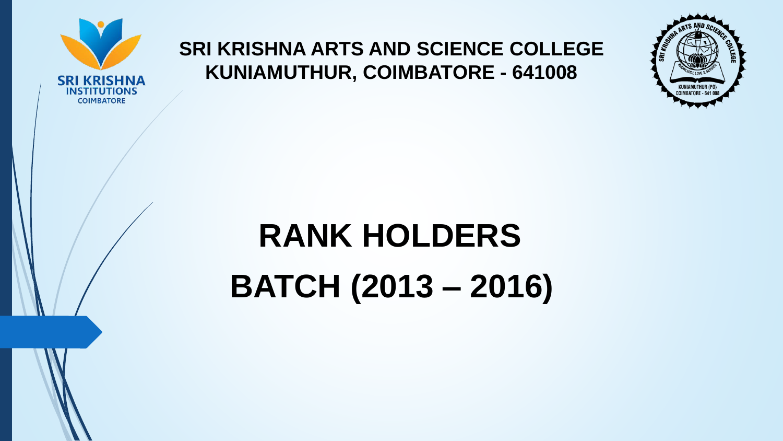

## **SRI KRISHNA ARTS AND SCIENCE COLLEGE KUNIAMUTHUR, COIMBATORE - 641008**



## **RANK HOLDERS**

**BATCH (2013 – 2016)**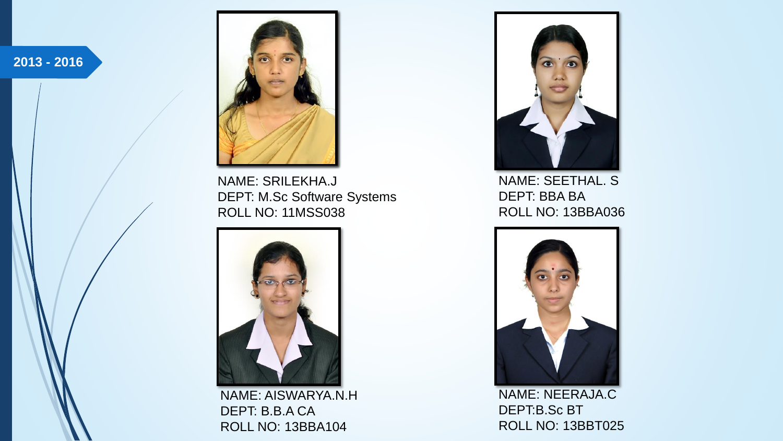



NAME: SRILEKHA.J DEPT: M.Sc Software Systems ROLL NO: 11MSS038



NAME: AISWARYA.N.H DEPT: B.B.A CA ROLL NO: 13BBA104



NAME: SEETHAL. S DEPT: BBA BA ROLL NO: 13BBA036



NAME: NEERAJA.C DEPT:B.Sc BT ROLL NO: 13BBT025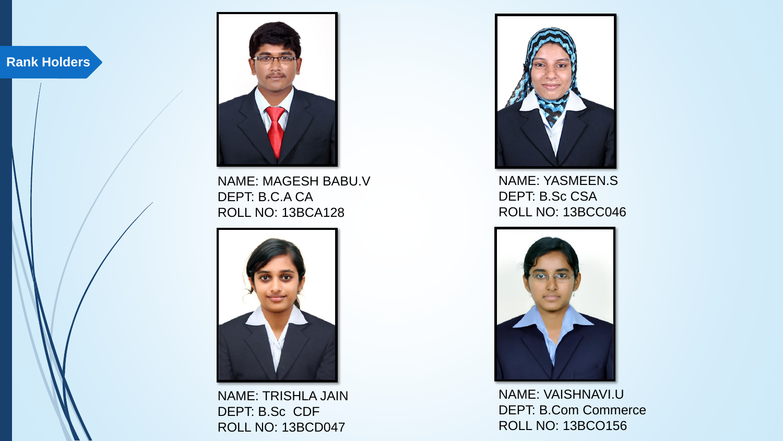

NAME: MAGESH BABU.V DEPT: B.C.A CA ROLL NO: 13BCA128



NAME: TRISHLA JAIN DEPT: B.Sc CDF ROLL NO: 13BCD047



NAME: YASMEEN.S DEPT: B.Sc CSA ROLL NO: 13BCC046



NAME: VAISHNAVI.U DEPT: B.Com Commerce ROLL NO: 13BCO156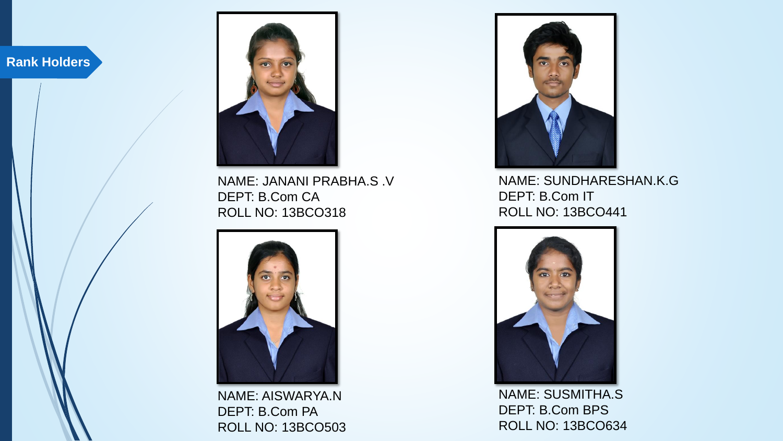

NAME: JANANI PRABHA.S .V DEPT: B.Com CA ROLL NO: 13BCO318



NAME: AISWARYA.N DEPT: B.Com PA ROLL NO: 13BCO503



NAME: SUNDHARESHAN.K.G DEPT: B.Com IT ROLL NO: 13BCO441



NAME: SUSMITHA.S DEPT: B.Com BPS ROLL NO: 13BCO634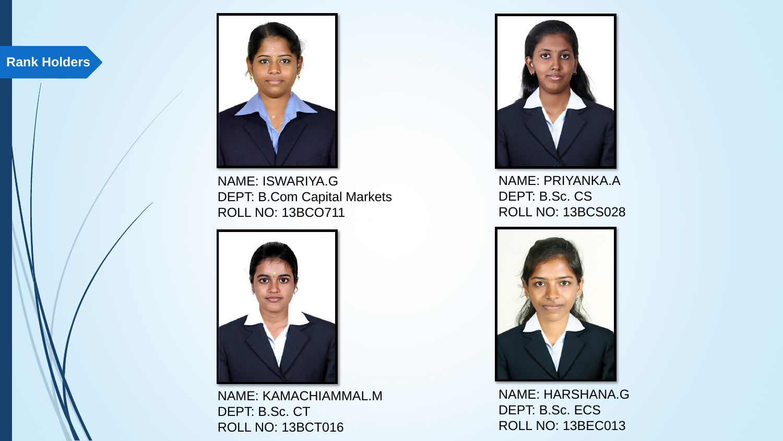

NAME: ISWARIYA.G DEPT: B.Com Capital Markets ROLL NO: 13BCO711



NAME: KAMACHIAMMAL.M DEPT: B.Sc. CT ROLL NO: 13BCT016



NAME: PRIYANKA.A DEPT: B.Sc. CS ROLL NO: 13BCS028



NAME: HARSHANA.G DEPT: B.Sc. ECS ROLL NO: 13BEC013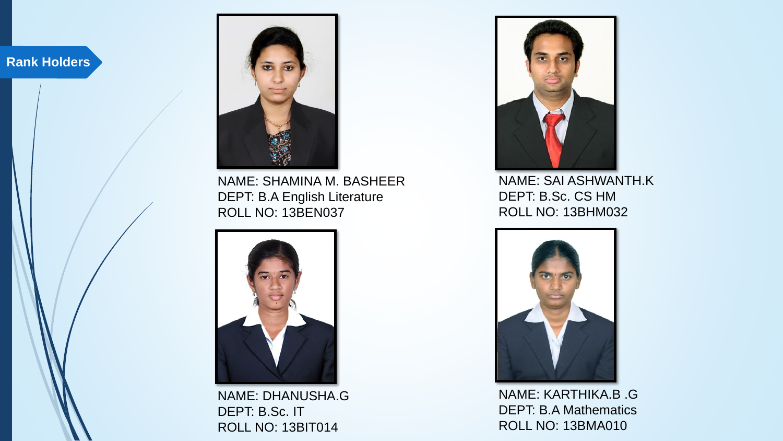

NAME: SHAMINA M. BASHEER DEPT: B.A English Literature ROLL NO: 13BEN037



NAME: DHANUSHA.G DEPT: B.Sc. IT ROLL NO: 13BIT014



NAME: SAI ASHWANTH.K DEPT: B.Sc. CS HM ROLL NO: 13BHM032



NAME: KARTHIKA.B .G DEPT: B.A Mathematics ROLL NO: 13BMA010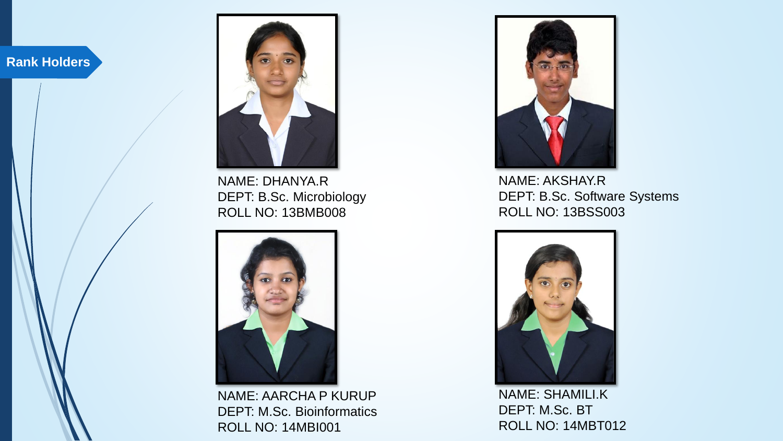

NAME: DHANYA.R DEPT: B.Sc. Microbiology ROLL NO: 13BMB008



NAME: AARCHA P KURUP DEPT: M.Sc. Bioinformatics ROLL NO: 14MBI001



NAME: AKSHAY.R DEPT: B.Sc. Software Systems ROLL NO: 13BSS003



NAME: SHAMILI.K DEPT: M.Sc. BT ROLL NO: 14MBT012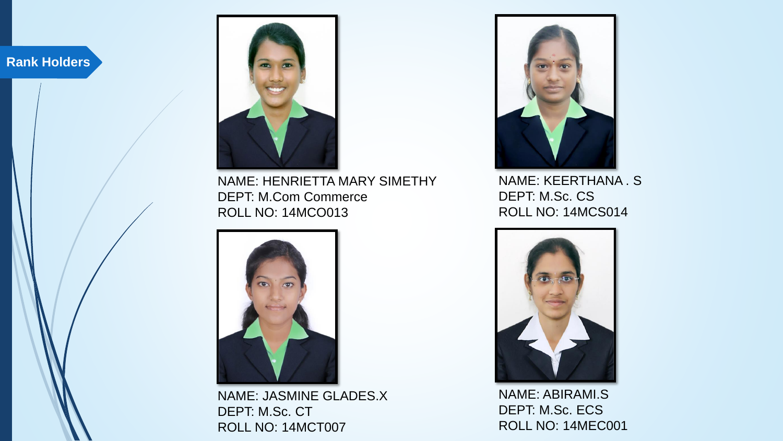

NAME: HENRIETTA MARY SIMETHY DEPT: M.Com Commerce ROLL NO: 14MCO013



NAME: JASMINE GLADES.X DEPT: M.Sc. CT ROLL NO: 14MCT007



NAME: KEERTHANA . S DEPT: M.Sc. CS ROLL NO: 14MCS014



NAME: ABIRAMI.S DEPT: M.Sc. ECS ROLL NO: 14MEC001